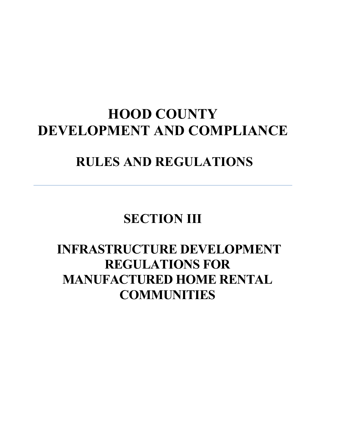# **HOOD COUNTY DEVELOPMENT AND COMPLIANCE**

# **RULES AND REGULATIONS**

# **SECTION III**

# **INFRASTRUCTURE DEVELOPMENT REGULATIONS FOR MANUFACTURED HOME RENTAL COMMUNITIES**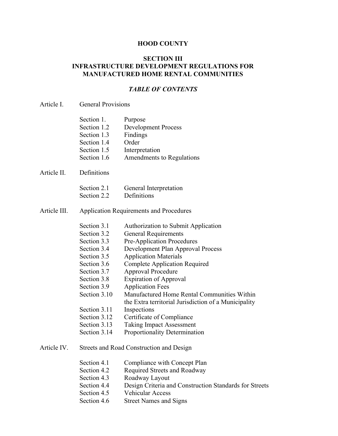#### **HOOD COUNTY**

# **SECTION III INFRASTRUCTURE DEVELOPMENT REGULATIONS FOR MANUFACTURED HOME RENTAL COMMUNITIES**

#### *TABLE OF CONTENTS*

#### Article I. General Provisions

Article II.

| Section 1.                               | Purpose                    |  |  |  |
|------------------------------------------|----------------------------|--|--|--|
| Section 1.2                              | <b>Development Process</b> |  |  |  |
| Section 1.3                              | Findings                   |  |  |  |
| Section 1.4                              | Order                      |  |  |  |
| Section 1.5                              | Interpretation             |  |  |  |
| Section 1.6                              | Amendments to Regulations  |  |  |  |
| Definitions                              |                            |  |  |  |
| Section 2.1                              | General Interpretation     |  |  |  |
| Section 2.2                              | Definitions                |  |  |  |
| Application Dequirements and Dreasedures |                            |  |  |  |

#### Article III. Application Requirements and Procedures

- Section 3.1 Authorization to Submit Application
- Section 3.2 General Requirements
- Section 3.3 Pre-Application Procedures
- Section 3.4 Development Plan Approval Process
- Section 3.5 Application Materials
- Section 3.6 Complete Application Required
- Section 3.7 Approval Procedure
- Section 3.8 Expiration of Approval
- Section 3.9 Application Fees
- Section 3.10 Manufactured Home Rental Communities Within the Extra territorial Jurisdiction of a Municipality
- Section 3.11 Inspections
- Section 3.12 Certificate of Compliance
- Section 3.13 Taking Impact Assessment
- Section 3.14 Proportionality Determination

#### Article IV. Streets and Road Construction and Design

- Section 4.1 Compliance with Concept Plan
- Section 4.2 Required Streets and Roadway
- Section 4.3 Roadway Layout
- Section 4.4 Design Criteria and Construction Standards for Streets
- Section 4.5 Vehicular Access
- Section 4.6 Street Names and Signs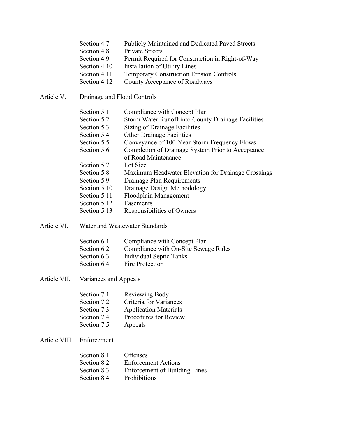| <b>Publicly Maintained and Dedicated Paved Streets</b><br>Section 4.7 |
|-----------------------------------------------------------------------|
|-----------------------------------------------------------------------|

- Section 4.8 Private Streets
- Section 4.9 Permit Required for Construction in Right-of-Way
- Section 4.10 Installation of Utility Lines
- Section 4.11 Temporary Construction Erosion Controls
- Section 4.12 County Acceptance of Roadways
- Article V. Drainage and Flood Controls

| Section 5.1 |  |  |  |  | Compliance with Concept Plan |  |
|-------------|--|--|--|--|------------------------------|--|
|             |  |  |  |  |                              |  |

- Section 5.2 Storm Water Runoff into County Drainage Facilities
- Section 5.3 Sizing of Drainage Facilities
- Section 5.4 Other Drainage Facilities
- Section 5.5 Conveyance of 100-Year Storm Frequency Flows
- Section 5.6 Completion of Drainage System Prior to Acceptance of Road Maintenance
- Section 5.7 Lot Size
- Section 5.8 Maximum Headwater Elevation for Drainage Crossings
- Section 5.9 Drainage Plan Requirements
- Section 5.10 Drainage Design Methodology
- Section 5.11 Floodplain Management
- Section 5.12 Easements
- Section 5.13 Responsibilities of Owners
- Article VI. Water and Wastewater Standards

| Section 6.1 | Compliance with Concept Plan         |
|-------------|--------------------------------------|
| Section 6.2 | Compliance with On-Site Sewage Rules |
| Section 6.3 | <b>Individual Septic Tanks</b>       |
| Section 6.4 | Fire Protection                      |
|             |                                      |

Article VII. Variances and Appeals

| Reviewing Body               |
|------------------------------|
| Criteria for Variances       |
| <b>Application Materials</b> |
| Procedures for Review        |
| Appeals                      |
|                              |

Article VIII. Enforcement

| Section 8.1 | <b>Offenses</b>                      |
|-------------|--------------------------------------|
| Section 8.2 | <b>Enforcement Actions</b>           |
| Section 8.3 | <b>Enforcement of Building Lines</b> |
| Section 8.4 | <b>Prohibitions</b>                  |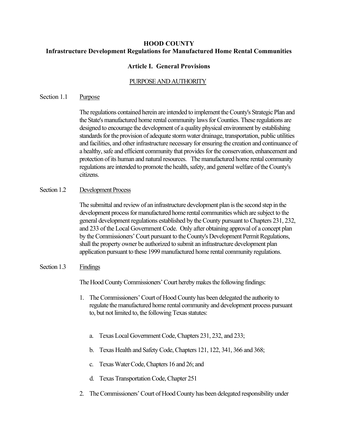# **HOOD COUNTY Infrastructure Development Regulations for Manufactured Home Rental Communities**

# **Article I. General Provisions**

# PURPOSE AND AUTHORITY

#### Section 1.1 Purpose

The regulations contained herein are intended to implement the County's Strategic Plan and the State's manufactured home rental community laws for Counties. These regulations are designed to encourage the development of a quality physical environment by establishing standards for the provision of adequate storm water drainage, transportation, public utilities and facilities, and other infrastructure necessary for ensuring the creation and continuance of a healthy, safe and efficient community that provides for the conservation, enhancement and protection of its human and natural resources. The manufactured home rental community regulations are intended to promote the health, safety, and general welfare of the County's citizens.

### Section 1.2 Development Process

The submittal and review of an infrastructure development plan is the second step in the development process for manufactured home rental communities which are subject to the general development regulations established by the County pursuant to Chapters 231, 232, and 233 of the Local Government Code. Only after obtaining approval of a concept plan by the Commissioners'Court pursuant to the County's Development Permit Regulations, shall the property owner be authorized to submit an infrastructure development plan application pursuant to these 1999 manufactured home rental community regulations.

### Section 1.3 Findings

The Hood County Commissioners'Court hereby makes the following findings:

- 1. The Commissioners'Court of Hood County has been delegated the authority to regulate the manufactured home rental community and development process pursuant to, but not limited to, the following Texas statutes:
	- a. Texas Local Government Code, Chapters 231, 232, and 233;
	- b. Texas Health and Safety Code, Chapters 121, 122, 341, 366 and 368;
	- c. Texas Water Code, Chapters 16 and 26; and
	- d. Texas Transportation Code, Chapter 251
- 2. The Commissioners' Court of Hood County has been delegated responsibility under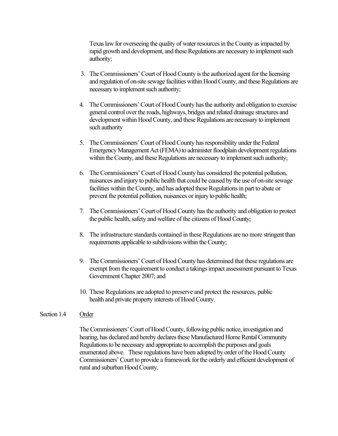Texas law for overseeing the quality of water resources in the County as impacted by rapid growth and development, and these Regulations are necessary to implement such authority;

- 3. The Commissioners'Court of Hood County is the authorized agent for the licensing and regulation of on-site sewage facilities within Hood County, and these Regulations are necessary to implement such authority;
- 4. The Commissioners'Court of Hood County has the authority and obligation to exercise general control over the roads, highways, bridges and related drainage structures and development within Hood County, and these Regulations are necessary to implement such authority
- 5. The Commissioners'Court of Hood County has responsibility under the Federal Emergency Management Act (FEMA) to administer floodplain development regulations within the County, and these Regulations are necessary to implement such authority;
- 6. The Commissioners'Court of Hood County has considered the potential pollution, nuisances and injury to public health that could be caused by the use of on-site sewage facilities within the County, and has adopted these Regulations in part to abate or prevent the potential pollution, nuisances or injury to public health;
- 7. The Commissioners'Court of Hood County has the authority and obligation to protect the public health, safety and welfare of the citizens of Hood County;
- 8. The infrastructure standards contained in these Regulations are no more stringent than requirements applicable to subdivisions within the County;
- 9. The Commissioners'Court of Hood County has determined that these regulations are exempt from the requirement to conduct a takings impact assessment pursuant to Texas Government Chapter 2007; and
- 10. These Regulations are adopted to preserve and protect the resources, public health and private property interests of Hood County.

#### Section 1.4 Order

The Commissioners'Court of Hood County, following public notice, investigation and hearing, has declared and hereby declares these Manufactured Home Rental Community Regulations to be necessary and appropriate to accomplish the purposes and goals enumerated above. These regulations have been adopted by order of the Hood County Commissioners'Court to provide a framework for the orderly and efficient development of rural and suburban Hood County.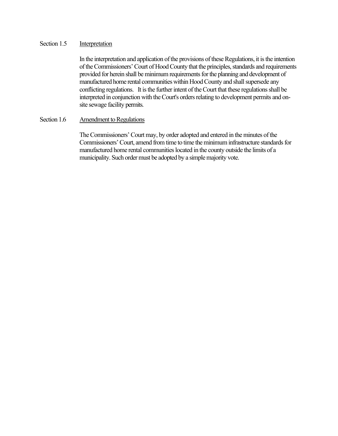### Section 1.5 Interpretation

In the interpretation and application of the provisions of these Regulations, it is the intention of the Commissioners'Court of Hood County that the principles, standards and requirements provided for herein shall be minimum requirements for the planning and development of manufactured home rental communities within Hood County and shall supersede any conflicting regulations. It is the further intent of the Court that these regulations shall be interpreted in conjunction with the Court's orders relating to development permits and onsite sewage facility permits.

### Section 1.6 Amendment to Regulations

The Commissioners'Court may, by order adopted and entered in the minutes of the Commissioners' Court, amend from time to time the minimum infrastructure standards for manufactured home rental communities located in the county outside the limits of a municipality. Such order must be adopted by a simple majority vote.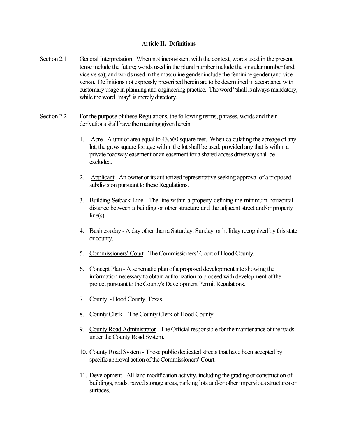#### **Article II. Definitions**

- Section 2.1 General Interpretation. When not inconsistent with the context, words used in the present tense include the future; words used in the plural number include the singular number (and vice versa); and words used in the masculine gender include the feminine gender (and vice versa). Definitions not expressly prescribed herein are to be determined in accordance with customary usage in planning and engineering practice. The word "shall is always mandatory, while the word "may" is merely directory.
- Section 2.2 For the purpose of these Regulations, the following terms, phrases, words and their derivations shall have the meaning given herein.
	- 1. Acre A unit of area equal to 43,560 square feet. When calculating the acreage of any lot, the gross square footage within the lot shall be used, provided any that is within a private roadway easement or an easement for a shared access driveway shall be excluded.
	- 2. Applicant- An owner or its authorized representative seeking approval of a proposed subdivision pursuant to these Regulations.
	- 3. Building Setback Line The line within a property defining the minimum horizontal distance between a building or other structure and the adjacent street and/or property  $line(s)$ .
	- 4. Business day A day other than a Saturday, Sunday, or holiday recognized by this state or county.
	- 5. Commissioners'Court- The Commissioners'Court of Hood County.
	- 6. Concept Plan A schematic plan of a proposed development site showing the information necessary to obtain authorization to proceed with development of the project pursuant to the County's Development Permit Regulations.
	- 7. County Hood County, Texas.
	- 8. County Clerk The County Clerk of Hood County.
	- 9. County Road Administrator The Official responsible for the maintenance of the roads under the County Road System.
	- 10. County Road System Those public dedicated streets that have been accepted by specific approval action of the Commissioners'Court.
	- 11. Development- All land modification activity, including the grading or construction of buildings, roads, paved storage areas, parking lots and/or other impervious structures or surfaces.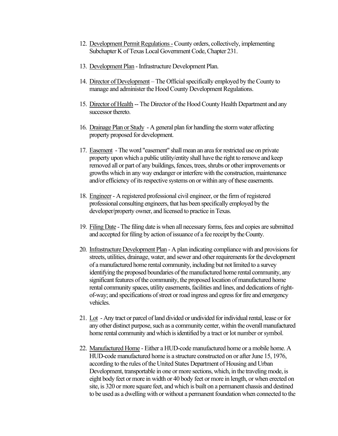- 12. Development Permit Regulations -County orders, collectively, implementing Subchapter K of Texas Local Government Code, Chapter 231.
- 13. Development Plan Infrastructure Development Plan.
- 14. Director of Development The Official specifically employed by the County to manage and administer the Hood County Development Regulations.
- 15. Director of Health -- The Director of the Hood County Health Department and any successor thereto.
- 16. Drainage Plan or Study A general plan for handling the storm water affecting property proposed for development.
- 17. Easement -The word "easement" shall mean an area for restricted use on private property upon which a public utility/entity shall have the right to remove and keep removed all or part of any buildings, fences, trees, shrubs or other improvements or growths which in any way endanger or interfere with the construction, maintenance and/or efficiency of its respective systems on or within any of these easements.
- 18. Engineer A registered professional civil engineer, or the firm of registered professional consulting engineers, that has been specifically employed by the developer/property owner, and licensed to practice in Texas.
- 19. Filing Date The filing date is when all necessary forms, fees and copies are submitted and accepted for filing by action of issuance of a fee receipt by the County.
- 20. Infrastructure Development Plan A plan indicating compliance with and provisions for streets, utilities, drainage, water, and sewer and other requirements for the development of a manufactured home rental community, including but not limited to a survey identifying the proposed boundaries of the manufactured home rental community, any significant features of the community, the proposed location of manufactured home rental community spaces, utility easements, facilities and lines, and dedications of rightof-way; and specifications of street or road ingress and egress for fire and emergency vehicles.
- 21. Lot Any tract or parcel of land divided or undivided for individual rental, lease or for any other distinct purpose, such as a community center, within the overall manufactured home rental community and which is identified by a tract or lot number or symbol.
- 22. Manufactured Home Either a HUD-code manufactured home or a mobile home. A HUD-code manufactured home is a structure constructed on or after June 15, 1976, according to the rules of the United States Department of Housing and Urban Development, transportable in one or more sections, which, in the traveling mode, is eight body feet or more in width or 40 body feet or more in length, or when erected on site, is 320 or more square feet, and which is built on a permanent chassis and destined to be used as a dwelling with or without a permanent foundation when connected to the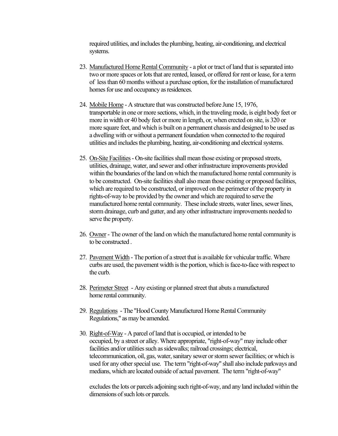required utilities, and includes the plumbing, heating, air-conditioning, and electrical systems.

- 23. Manufactured Home Rental Community a plot or tract of land that isseparated into two or more spaces or lots that are rented, leased, or offered for rent or lease, for a term of less than 60 months without a purchase option, for the installation of manufactured homes for use and occupancy as residences.
- 24. Mobile Home A structure that was constructed before June 15, 1976, transportable in one or more sections, which, in the traveling mode, is eight body feet or more in width or 40 body feet or more in length, or, when erected on site, is 320 or more square feet, and which is built on a permanent chassis and designed to be used as a dwelling with or without a permanent foundation when connected to the required utilities and includes the plumbing, heating, air-conditioning and electrical systems.
- 25. On-Site Facilities- On-site facilities shall mean those existing or proposed streets, utilities, drainage, water, and sewer and other infrastructure improvements provided within the boundaries of the land on which the manufactured home rental community is to be constructed. On-site facilities shall also mean those existing or proposed facilities, which are required to be constructed, or improved on the perimeter of the property in rights-of-way to be provided by the owner and which are required to serve the manufactured home rental community. These include streets, water lines, sewer lines, storm drainage, curb and gutter, and any other infrastructure improvements needed to serve the property.
- 26. Owner The owner of the land on which the manufactured home rental community is to be constructed .
- 27. Pavement Width The portion of a street that is available for vehicular traffic. Where curbs are used, the pavement width is the portion, which is face-to-face with respect to the curb.
- 28. Perimeter Street Any existing or planned street that abuts a manufactured home rental community.
- 29. Regulations -The "Hood County Manufactured Home Rental Community Regulations," as may be amended.
- 30. Right-of-Way A parcel of land that is occupied, or intended to be occupied, by a street or alley. Where appropriate, "right-of-way" may include other facilities and/or utilities such as sidewalks; railroad crossings; electrical, telecommunication, oil, gas, water, sanitary sewer or storm sewer facilities; or which is used for any other special use. The term "right-of-way" shall also include parkways and medians, which are located outside of actual pavement. The term "right-of-way"

excludes the lots or parcels adjoining such right-of-way, and any land included within the dimensions of such lots or parcels.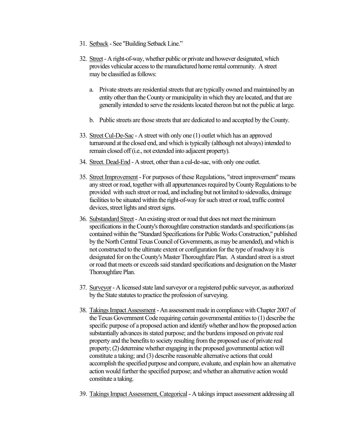- 31. Setback See "Building Setback Line."
- 32. Street- A right-of-way, whether public or private and however designated, which provides vehicular access to the manufactured home rental community. A street may be classified as follows:
	- a. Private streets are residential streets that are typically owned and maintained by an entity other than the County or municipality in which they are located, and that are generally intended to serve the residents located thereon but not the public at large.
	- b. Public streets are those streets that are dedicated to and accepted by the County.
- 33. Street Cul-De-Sac A street with only one (1) outlet which has an approved turnaround at the closed end, and which is typically (although not always) intended to remain closed off (i.e., not extended into adjacent property).
- 34. Street. Dead-End A street, other than a cul-de-sac, with only one outlet.
- 35. Street Improvement For purposes of these Regulations, "street improvement" means any street or road, together with all appurtenances required by County Regulations to be provided with such street or road, and including but not limited to sidewalks, drainage facilities to be situated within the right-of-way for such street or road, traffic control devices, street lights and street signs.
- 36. Substandard Street- An existing street or road that does not meet the minimum specifications in the County's thoroughfare construction standards and specifications (as contained within the "Standard Specifications for Public Works Construction," published by the North Central Texas Council of Governments, as may be amended), and which is not constructed to the ultimate extent or configuration for the type of roadway it is designated for on the County's Master Thoroughfare Plan. A standard street is a street or road that meets or exceeds said standard specifications and designation on the Master Thoroughfare Plan.
- 37. Surveyor- A licensed state land surveyor or a registered public surveyor, as authorized by the State statutes to practice the profession of surveying.
- 38. Takings Impact Assessment- An assessment made in compliance with Chapter 2007 of the Texas Government Code requiring certain governmental entities to (1) describe the specific purpose of a proposed action and identify whether and how the proposed action substantially advances its stated purpose; and the burdens imposed on private real property and the benefits to society resulting from the proposed use of private real property; (2) determine whether engaging in the proposed governmental action will constitute a taking; and (3) describe reasonable alternative actions that could accomplish the specified purpose and compare, evaluate, and explain how an alternative action would further the specified purpose; and whether an alternative action would constitute a taking.
- 39. Takings Impact Assessment, Categorical A takings impact assessment addressing all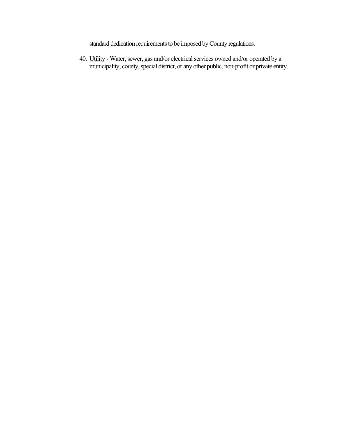standard dedication requirements to be imposed by County regulations.

40. Utility - Water, sewer, gas and/or electrical services owned and/or operated by a municipality, county, special district, or any other public, non-profit or private entity.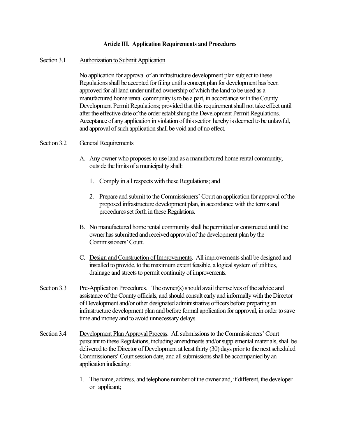#### **Article III. Application Requirements and Procedures**

#### Section 3.1 Authorization to Submit Application

No application for approval of an infrastructure development plan subject to these Regulations shall be accepted for filing until a concept plan for development has been approved for all land under unified ownership of which the land to be used as a manufactured home rental community is to be a part, in accordance with the County Development Permit Regulations; provided that this requirement shall not take effect until after the effective date of the order establishing the Development Permit Regulations. Acceptance of any application in violation of this section hereby is deemed to be unlawful, and approval of such application shall be void and of no effect.

#### Section 3.2 General Requirements

- A. Any owner who proposes to use land as a manufactured home rental community, outside the limits of a municipality shall:
	- 1. Comply in all respects with these Regulations; and
	- 2. Prepare and submit to the Commissioners'Court an application for approval of the proposed infrastructure development plan, in accordance with the terms and procedures set forth in these Regulations.
- B. No manufactured home rental community shall be permitted or constructed until the owner has submitted and received approval of the development plan by the Commissioners'Court.
- C. Design and Construction of Improvements. All improvements shall be designed and installed to provide, to the maximum extent feasible, a logical system of utilities, drainage and streets to permit continuity of improvements.
- Section 3.3 Pre-Application Procedures. The owner(s) should avail themselves of the advice and assistance of the County officials, and should consult early and informally with the Director of Development and/or other designated administrative officers before preparing an infrastructure development plan and before formal application for approval, in order to save time and money and to avoid unnecessary delays.
- Section 3.4 Development Plan Approval Process. All submissions to the Commissioners'Court pursuant to these Regulations, including amendments and/or supplemental materials, shall be delivered to the Director of Development at least thirty (30) days prior to the next scheduled Commissioners'Court session date, and all submissions shall be accompanied by an application indicating:
	- 1. The name, address, and telephone number of the owner and, if different, the developer or applicant;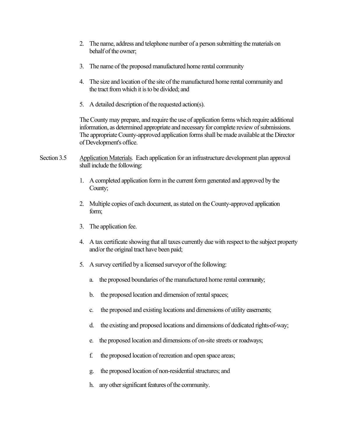- 2. The name, address and telephone number of a person submitting the materials on behalf of the owner;
- 3. The name of the proposed manufactured home rental community
- 4. The size and location of the site of the manufactured home rental community and the tract from which it is to be divided; and
- 5. A detailed description of the requested action(s).

The County may prepare, and require the use of application forms which require additional information, as determined appropriate and necessary for complete review of submissions. The appropriate County-approved application forms shall be made available at the Director of Development's office.

- Section 3.5 Application Materials. Each application for an infrastructure development plan approval shall include the following:
	- 1. A completed application form in the current form generated and approved by the County;
	- 2. Multiple copies of each document, as stated on the County-approved application form;
	- 3. The application fee.
	- 4. A tax certificate showing that all taxes currently due with respect to the subject property and/or the original tract have been paid;
	- 5. A survey certified by a licensed surveyor of the following:
		- a. the proposed boundaries of the manufactured home rental community;
		- b. the proposed location and dimension of rental spaces;
		- c. the proposed and existing locations and dimensions of utility easements;
		- d. the existing and proposed locations and dimensions of dedicated rights-of-way;
		- e. the proposed location and dimensions of on-site streets or roadways;
		- f. the proposed location of recreation and open space areas;
		- g. the proposed location of non-residential structures; and
		- h. any other significant features of the community.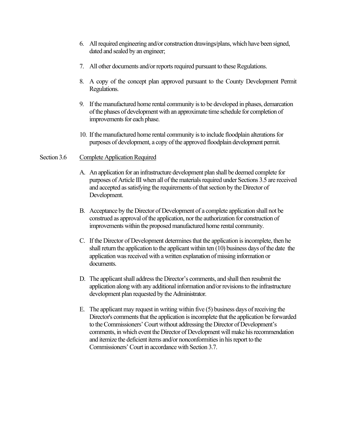- 6. All required engineering and/or construction drawings/plans, which have been signed, dated and sealed by an engineer;
- 7. All other documents and/or reports required pursuant to these Regulations.
- 8. A copy of the concept plan approved pursuant to the County Development Permit Regulations.
- 9. If the manufactured home rental community is to be developed in phases, demarcation of the phases of development with an approximate time schedule for completion of improvements for each phase.
- 10. If the manufactured home rental community is to include floodplain alterations for purposes of development, a copy of the approved floodplain development permit.

### Section 3.6 Complete Application Required

- A. An application for an infrastructure development plan shall be deemed complete for purposes of Article III when all of the materials required under Sections 3.5 are received and accepted as satisfying the requirements of that section by the Director of Development.
- B. Acceptance by the Director of Development of a complete application shall not be construed as approval of the application, nor the authorization for construction of improvements within the proposed manufactured home rental community.
- C. If the Director of Development determines that the application isincomplete, then he shall return the application to the applicant within ten (10) business days of the date the application was received with a written explanation of missing information or documents.
- D. The applicant shall address the Director's comments, and shall then resubmit the application along with any additional information and/or revisions to the infrastructure development plan requested by the Administrator.
- E. The applicant may request in writing within five (5) business days of receiving the Director's comments that the application is incomplete that the application be forwarded to the Commissioners'Court without addressing the Director of Development's comments, in which event the Director of Development will make his recommendation and itemize the deficient items and/or nonconformities in his report to the Commissioners'Court in accordance with Section 3.7.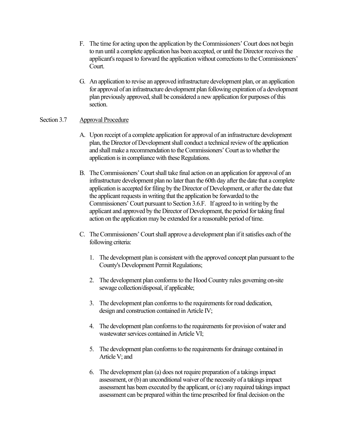- F. The time for acting upon the application by the Commissioners'Court does not begin to run until a complete application has been accepted, or until the Director receives the applicant's request to forward the application without corrections to the Commissioners' Court.
- G. An application to revise an approved infrastructure development plan, or an application for approval of an infrastructure development plan following expiration of a development plan previously approved, shall be considered a new application for purposes of this section.

### Section 3.7 Approval Procedure

- A. Upon receipt of a complete application for approval of an infrastructure development plan, the Director of Development shall conduct a technical review of the application and shall make a recommendation to the Commissioners'Court as to whether the application is in compliance with these Regulations.
- B. The Commissioners'Court shall take final action on an application for approval of an infrastructure development plan no later than the 60th day after the date that a complete application is accepted for filing by the Director of Development, or after the date that the applicant requests in writing that the application be forwarded to the Commissioners'Court pursuant to Section 3.6.F. If agreed to in writing by the applicant and approved by the Director of Development, the period for taking final action on the application may be extended for a reasonable period of time.
- C. The Commissioners'Court shall approve a development plan if it satisfies each of the following criteria:
	- 1. The development plan is consistent with the approved concept plan pursuant to the County's Development Permit Regulations;
	- 2. The development plan conforms to the Hood Country rules governing on-site sewage collection/disposal, if applicable;
	- 3. The development plan conforms to the requirements for road dedication, design and construction contained in Article IV;
	- 4. The development plan conforms to the requirements for provision of water and wastewater services contained in Article VI;
	- 5. The development plan conforms to the requirements for drainage contained in Article V; and
	- 6. The development plan (a) does not require preparation of a takings impact assessment, or (b) an unconditional waiver of the necessity of a takings impact assessment has been executed by the applicant, or (c) any required takings impact assessment can be prepared within the time prescribed for final decision on the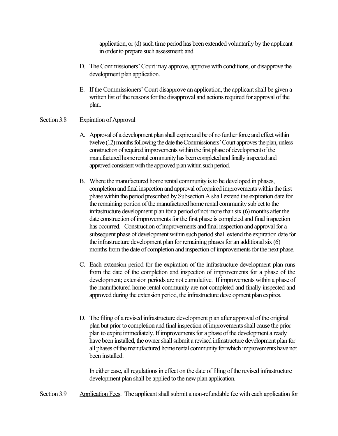application, or (d) such time period has been extended voluntarily by the applicant in order to prepare such assessment; and.

- D. The Commissioners'Court may approve, approve with conditions, or disapprove the development plan application.
- E. If the Commissioners'Court disapprove an application, the applicant shall be given a written list of the reasons for the disapproval and actions required for approval of the plan.

### Section 3.8 Expiration of Approval

- A. Approval of a development plan shall expire and be of no further force and effect within twelve (12) months following the date the Commissioners'Court approves the plan, unless construction of required improvements within the first phase of development of the manufactured home rental community has been completed and finally inspected and approved consistent with the approved plan within such period.
- B. Where the manufactured home rental community is to be developed in phases, completion and final inspection and approval of required improvements within the first phase within the period prescribed by Subsection A shall extend the expiration date for the remaining portion of the manufactured home rental community subject to the infrastructure development plan for a period of not more than six (6) months after the date construction of improvements for the first phase is completed and final inspection has occurred. Construction of improvements and final inspection and approval for a subsequent phase of development within such period shall extend the expiration date for the infrastructure development plan for remaining phases for an additional six (6) months from the date of completion and inspection of improvements for the next phase.
- C. Each extension period for the expiration of the infrastructure development plan runs from the date of the completion and inspection of improvements for a phase of the development; extension periods are not cumulative. If improvements within a phase of the manufactured home rental community are not completed and finally inspected and approved during the extension period, the infrastructure development plan expires.
- D. The filing of a revised infrastructure development plan after approval of the original plan but prior to completion and final inspection of improvements shall cause the prior plan to expire immediately. If improvements for a phase of the development already have been installed, the owner shall submit a revised infrastructure development plan for all phases of the manufactured home rental community for which improvements have not been installed.

In either case, all regulations in effect on the date of filing of the revised infrastructure development plan shall be applied to the new plan application.

Section 3.9 Application Fees. The applicant shall submit a non-refundable fee with each application for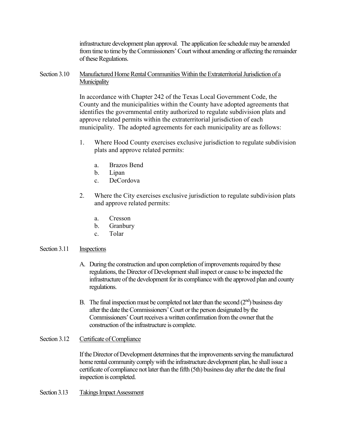infrastructure development plan approval. The application fee schedule may be amended from time to time by the Commissioners'Court without amending or affecting the remainder of these Regulations.

### Section 3.10 Manufactured Home Rental Communities Within the Extraterritorial Jurisdiction of a **Municipality**

In accordance with Chapter 242 of the Texas Local Government Code, the County and the municipalities within the County have adopted agreements that identifies the governmental entity authorized to regulate subdivision plats and approve related permits within the extraterritorial jurisdiction of each municipality. The adopted agreements for each municipality are as follows:

- 1. Where Hood County exercises exclusive jurisdiction to regulate subdivision plats and approve related permits:
	- a. Brazos Bend
	- b. Lipan
	- c. DeCordova
- 2. Where the City exercises exclusive jurisdiction to regulate subdivision plats and approve related permits:
	- a. Cresson
	- b. Granbury
	- c. Tolar

### Section 3.11 Inspections

- A. During the construction and upon completion ofimprovements required by these regulations, the Director of Development shall inspect or cause to be inspected the infrastructure of the development for its compliance with the approved plan and county regulations.
- B. The final inspection must be completed not later than the second  $(2<sup>nd</sup>)$  business day after the date the Commissioners' Court or the person designated by the Commissioners' Court receives a written confirmation from the owner that the construction of the infrastructure is complete.

### Section 3.12 Certificate of Compliance

If the Director of Development determines that the improvements serving the manufactured home rental community comply with the infrastructure development plan, he shall issue a certificate of compliance not later than the fifth (5th) business day after the date the final inspection is completed.

### Section 3.13 Takings Impact Assessment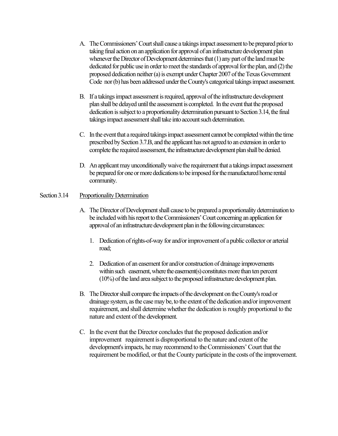- A. The Commissioners' Court shall cause a takings impact assessment to be prepared prior to taking final action on an application for approval of an infrastructure development plan whenever the Director of Development determines that (1) any part of the land must be dedicated for public use in order to meet the standards of approval for the plan, and (2) the proposed dedication neither (a) is exempt under Chapter 2007 of the Texas Government Code nor (b) has been addressed under the County's categorical takings impact assessment.
- B. If a takings impact assessment is required, approval of the infrastructure development plan shall be delayed until the assessment is completed. In the event that the proposed dedication is subject to a proportionality determination pursuant to Section 3.14, the final takings impact assessment shall take into account such determination.
- C. In the event that a required takings impact assessment cannot be completedwithin the time prescribed by Section 3.7.B, and the applicant has not agreed to an extension in order to complete the required assessment, the infrastructure development plan shall be denied.
- D. An applicant may unconditionally waive the requirement that a takings impact assessment be prepared for one or more dedications to be imposed for the manufactured home rental community.

# Section 3.14 Proportionality Determination

- A. The Director of Development shall cause to be prepared a proportionality determinationto be included with his report to the Commissioners'Court concerning an application for approval of an infrastructure development plan in the following circumstances:
	- 1. Dedication of rights-of-way for and/or improvement of a public collector or arterial road;
	- 2. Dedication of an easement for and/or construction of drainage improvements within such easement, where the easement(s) constitutes more than ten percent (10%) of the land area subject to the proposed infrastructure development plan.
- B. The Director shall compare the impacts of the development on the County's road or drainage system, as the case may be, to the extent of the dedication and/or improvement requirement, and shall determine whether the dedication is roughly proportional to the nature and extent of the development.
- C. In the event that the Director concludes that the proposed dedication and/or improvement requirement is disproportional to the nature and extent of the development's impacts, he may recommend to the Commissioners'Court that the requirement be modified, or that the County participate in the costs of the improvement.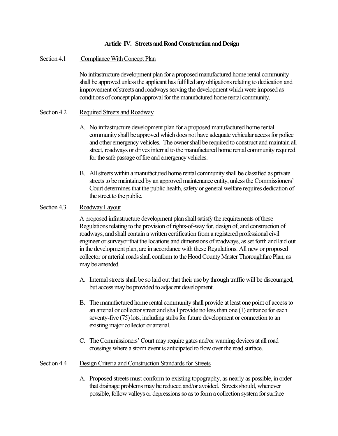#### **Article IV. Streets and Road Construction and Design**

#### Section 4.1 Compliance With Concept Plan

No infrastructure development plan for a proposed manufactured home rental community shall be approved unless the applicant has fulfilled any obligations relating to dedication and improvement of streets and roadways serving the development which were imposed as conditions of concept plan approval for the manufactured home rental community.

#### Section 4.2 Required Streets and Roadway

- A. No infrastructure development plan for a proposed manufactured home rental community shall be approved which does not have adequate vehicular access for police and other emergency vehicles. The owner shall be required to construct and maintain all street, roadways or drives internal to the manufactured home rental community required for the safe passage of fire and emergency vehicles.
- B. All streets within a manufactured home rental community shall be classified as private streets to be maintained by an approved maintenance entity, unless the Commissioners' Court determines that the public health, safety or general welfare requires dedication of the street to the public.

# Section 4.3 Roadway Layout

A proposed infrastructure development plan shall satisfy the requirements of these Regulations relating to the provision of rights-of-way for, design of, and construction of roadways, and shall contain a written certification from a registered professional civil engineer or surveyor that the locations and dimensions of roadways, as set forth and laid out in the development plan, are in accordance with these Regulations. All new or proposed collector or arterial roads shall conform to the Hood County Master Thoroughfare Plan, as may be amended.

- A. Internal streets shall be so laid out that their use by through traffic will be discouraged, but access may be provided to adjacent development.
- B. The manufactured home rental community shall provide at least one point of access to an arterial or collector street and shall provide no less than one (1) entrance for each seventy-five (75) lots, including stubs for future development or connection to an existing major collector or arterial.
- C. The Commissioners'Court may require gates and/or warning devices at all road crossings where a storm event is anticipated to flow over the road surface.

#### Section 4.4 Design Criteria and Construction Standards for Streets

A. Proposed streets must conform to existing topography, as nearly as possible, in order that drainage problems may be reduced and/or avoided. Streets should, whenever possible, follow valleys or depressions so as to form a collection system for surface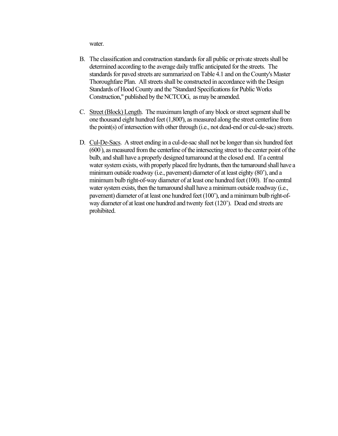water.

- B. The classification and construction standards for all public or private streets shall be determined according to the average daily traffic anticipated for the streets. The standards for paved streets are summarized on Table 4.1 and on the County's Master Thoroughfare Plan. All streets shall be constructed in accordance with the Design Standards of Hood County and the "Standard Specifications for Public Works Construction," published by the NCTCOG, as may be amended.
- C. Street (Block) Length. The maximum length of any block or street segment shall be one thousand eight hundred feet (1,800'), as measured along the street centerline from the point(s) of intersection with other through (i.e., not dead-end or cul-de-sac) streets.
- D. Cul-De-Sacs. A street ending in a cul-de-sac shall not be longer than six hundred feet (600' ), as measured from the centerline of the intersecting street to the center point of the bulb, and shall have a properly designed turnaround at the closed end. If a central water system exists, with properly placed fire hydrants, then the turnaround shall have a minimum outside roadway (i.e., pavement) diameter of at least eighty (80'), and a minimum bulb right-of-way diameter of at least one hundred feet (100). If no central water system exists, then the turnaround shall have a minimum outside roadway (i.e., pavement) diameter of at least one hundred feet (100'), and a minimum bulb right-ofway diameter of at least one hundred and twenty feet (120'). Dead end streets are prohibited.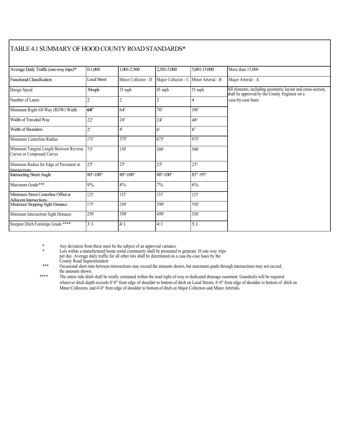# TABLE 4.1 SUMMARY OF HOOD COUNTY ROAD STANDARDS\*

| Average Daily Traffic (one-way trips) <sup>*</sup>                   | $0 - 1,000$                | 1.001-2.500                | 2,501-5.000                | 5.001-15.000          | More than 15,000                                                                                             |
|----------------------------------------------------------------------|----------------------------|----------------------------|----------------------------|-----------------------|--------------------------------------------------------------------------------------------------------------|
| <b>Functional Classification</b>                                     | <b>Local Street</b>        | Minor Collector - D        | Major Collector - C        | Minor Arterial - B    | Major Arterial - A                                                                                           |
| Design Speed                                                         | 30mph                      | 35 mph                     | 45 mph                     | 55 mph                | All elements, including geometric layout and cross-section,<br>shall be approved by the County Engineer on a |
| Number of Lanes                                                      | $\overline{2}$             | $\overline{2}$             | $\overline{c}$             | 4                     | case-by-case basis                                                                                           |
| Minimum Right-Of-Way (ROW) Width                                     | 60'                        | 64'                        | 70'                        | 100'                  |                                                                                                              |
| Width of Traveled Way                                                | 22'                        | 24'                        | 24'                        | 48'                   |                                                                                                              |
| Width of Shoulders                                                   | 2'                         | 4'                         | 6'                         | 8 <sup>1</sup>        |                                                                                                              |
| Minimum Centerline Radius                                            | 175'                       | 375'                       | 675'                       | 975'                  |                                                                                                              |
| Minimum Tangent Length Between Reverse<br>Curves or Compound Curves  | 75'                        | 150'                       | 300'                       | 500'                  |                                                                                                              |
| Minimum Radius for Edge of Pavement at<br>Intersections              | 25'                        | 25'                        | 25'                        | 25'                   |                                                                                                              |
| <b>Intersecting Street Angle</b>                                     | $80^{\circ} - 100^{\circ}$ | $80^{\circ} - 100^{\circ}$ | $80^{\circ} - 100^{\circ}$ | $85^\circ - 95^\circ$ |                                                                                                              |
| Maximum Grade***                                                     | 9%                         | 8%                         | 7%                         | 6%                    |                                                                                                              |
| Minimum Street Centerline Offset at<br><b>Adiacent Intersections</b> | 125'                       | 125'                       | $125'$                     | 125'                  |                                                                                                              |
| Minimum Stopping Sight Distance                                      | 175'                       | 250'                       | 350                        | 550'                  |                                                                                                              |
| Minimum Intersection Sight Distance                                  | 250'                       | 350'                       | 450                        | 550'                  |                                                                                                              |
| Steepest Ditch Foreslope Grade ****                                  | 3:1                        | 4:1                        | 4:1                        | 5:1                   |                                                                                                              |

\* Any deviation from these must be the subject of an approved variance.

Lots within a manufactured home rental community shall be presumed to generate 10 one-way trips per day. Average daily traffic for all other lots shall be determined on a case-by-case basis by the

County Road Superintendent

\*\*\* Occasional short runs between intersections may exceed the amounts shown, but maximum grade through intersections may not exceed the amounts shown.

\*\*\*\* The entire side ditch shall be totally contained within the road right-of-way or dedicated drainage easement. Guardrails will be required wherever ditch depth exceeds 8'-0" from edge of shoulder to bottom of ditch on Local Streets, 6'-0" from edge of shoulder to bottom of ditch on Minor Collectors, and 4'-0" from edge of shoulder to bottom of ditch on Major Collectors and Minor Arterials.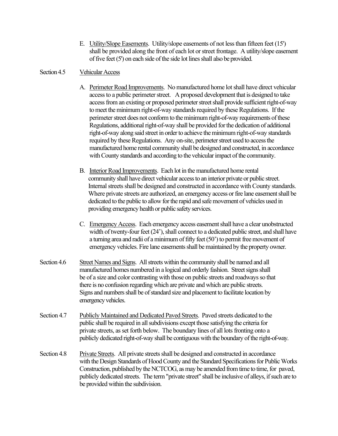E. Utility/Slope Easements. Utility/slope easements of not less than fifteen feet (15') shall be provided along the front of each lot or street frontage. A utility/slope easement of five feet (5') on each side of the side lot lines shall also be provided.

### Section 4.5 Vehicular Access

- A. Perimeter Road Improvements. No manufactured home lot shall have direct vehicular access to a public perimeter street. A proposed development that is designed to take access from an existing or proposed perimeter street shall provide sufficient right-of-way to meet the minimum right-of-way standards required by these Regulations. If the perimeter street does not conform to the minimum right-of-way requirements of these Regulations, additional right-of-way shall be provided for the dedication of additional right-of-way along said street in order to achieve the minimum right-of-way standards required by these Regulations. Any on-site, perimeter street used to access the manufactured home rental community shall be designed and constructed, in accordance with County standards and according to the vehicular impact of the community.
- B. Interior Road Improvements. Each lot in the manufactured home rental community shall have direct vehicular access to an interior private or public street. Internal streets shall be designed and constructed in accordance with County standards. Where private streets are authorized, an emergency access or fire lane easement shall be dedicated to the public to allow for the rapid and safe movement of vehicles used in providing emergency health or public safety services.
- C. Emergency Access. Each emergency access easement shall have a clear unobstructed width of twenty-four feet (24'), shall connect to a dedicated public street, and shall have a turning area and radii of a minimum of fifty feet  $(50)$  to permit free movement of emergency vehicles. Fire lane easements shall be maintained by the property owner.
- Section 4.6 Street Names and Signs. All streets within the community shall be named and all manufactured homes numbered in a logical and orderly fashion. Street signs shall be of a size and color contrasting with those on public streets and roadways so that there is no confusion regarding which are private and which are public streets. Signs and numbers shall be of standard size and placement to facilitate location by emergency vehicles.
- Section 4.7 Publicly Maintained and Dedicated Paved Streets. Paved streets dedicated to the public shall be required in all subdivisions except those satisfying the criteria for private streets, as set forth below. The boundary lines of all lots fronting onto a publicly dedicated right-of-way shall be contiguous with the boundary of the right-of-way.
- Section 4.8 Private Streets. All private streets shall be designed and constructed in accordance with the Design Standards of Hood County and the Standard Specifications for Public Works Construction, published by the NCTCOG, as may be amended from time to time,for paved, publicly dedicated streets. The term "private street" shall be inclusive of alleys, if such are to be provided within the subdivision.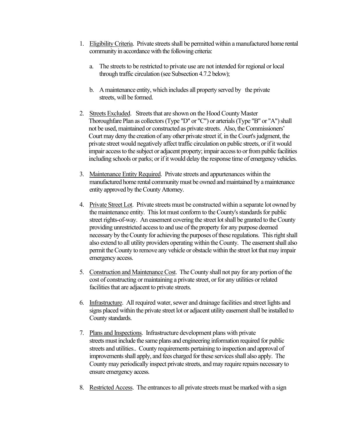- 1. Eligibility Criteria. Private streets shall be permitted within a manufactured home rental community in accordance with the following criteria:
	- a. The streets to be restricted to private use are not intended for regional or local through traffic circulation (see Subsection 4.7.2 below);
	- b. A maintenance entity, which includes all property served by the private streets, will be formed.
- 2. Streets Excluded. Streets that are shown on the Hood County Master Thoroughfare Plan as collectors (Type "D" or "C") or arterials (Type "B" or "A") shall not be used, maintained or constructed as private streets. Also, the Commissioners' Court may deny the creation of any other private street if, in the Court's judgment, the private street would negatively affect traffic circulation on public streets, or if it would impair access to the subject or adjacent property; impair access to or from public facilities including schools or parks; or if it would delay the response time of emergency vehicles.
- 3. Maintenance Entity Required. Private streets and appurtenances within the manufactured home rental community must be owned and maintained by a maintenance entity approved by the County Attorney.
- 4. Private Street Lot. Private streets must be constructed within a separate lot owned by the maintenance entity. This lot must conform to the County's standards for public street rights-of-way. An easement covering the street lot shall be granted to the County providing unrestricted access to and use of the property for any purpose deemed necessary by the County for achieving the purposes of these regulations. This right shall also extend to all utility providers operating within the County. The easement shall also permit the County to remove any vehicle or obstacle within the street lot that may impair emergency access.
- 5. Construction and Maintenance Cost. The County shall not pay for any portion of the cost of constructing or maintaining a private street, or for any utilities or related facilities that are adjacent to private streets.
- 6. Infrastructure. All required water, sewer and drainage facilities and street lights and signs placed within the private street lot or adjacent utility easement shall be installed to County standards.
- 7. Plans and Inspections. Infrastructure development plans with private streets must include the same plans and engineering information required for public streets and utilities.. County requirements pertaining to inspection and approval of improvements shall apply, and fees charged for these services shall also apply. The County may periodically inspect private streets, and may require repairs necessary to ensure emergency access.
- 8. Restricted Access. The entrances to all private streets must be marked with a sign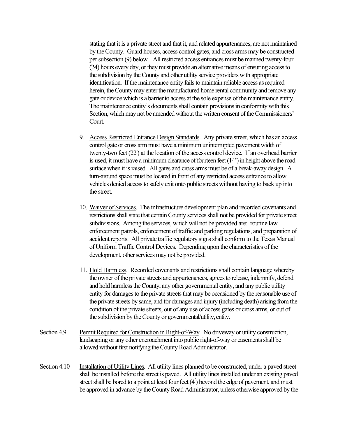stating that it is a private street and that it, and related appurtenances, are not maintained by the County. Guard houses, access control gates, and cross arms may be constructed per subsection (9) below. All restricted access entrances must be manned twenty-four (24) hours every day, or they must provide an alternative means of ensuring access to the subdivision by the County and other utility service providers with appropriate identification. If the maintenance entity fails to maintain reliable access as required herein, the County may enter the manufactured home rental community and remove any gate or device which is a barrier to access at the sole expense of the maintenance entity. The maintenance entity's documents shall contain provisions in conformity with this Section, which may not be amended without the written consent of the Commissioners' Court.

- 9. Access Restricted Entrance Design Standards. Any private street, which has an access control gate or cross arm must have a minimum uninterrupted pavement width of twenty-two feet (22') at the location of the access control device. If an overhead barrier is used, it must have a minimum clearance of fourteen feet  $(14')$  in height above the road surface when it is raised. All gates and cross arms must be of a break-away design. A turn-around space must be located in front of any restricted access entrance to allow vehicles denied access to safely exit onto public streets without having to back up into the street.
- 10. Waiver of Services. The infrastructure development plan and recorded covenants and restrictions shall state that certain County services shall not be provided for private street subdivisions. Among the services, which will not be provided are: routine law enforcement patrols, enforcement of traffic and parking regulations, and preparation of accident reports. All private traffic regulatory signs shall conform to the Texas Manual of Uniform Traffic Control Devices. Depending upon the characteristics of the development, other services may not be provided.
- 11. Hold Harmless. Recorded covenants and restrictions shall contain language whereby the owner of the private streets and appurtenances, agrees to release, indemnify, defend and hold harmless the County, any other governmental entity, and any public utility entity for damages to the private streets that may be occasioned by the reasonable use of the private streets by same, and for damages and injury (including death) arising from the condition of the private streets, out of any use of access gates or cross arms, or out of the subdivision by the County or governmental/utility, entity.
- Section 4.9 Permit Required for Construction in Right-of-Way. No driveway or utility construction, landscaping or any other encroachment into public right-of-way or easements shall be allowed without first notifying the County Road Administrator.
- Section 4.10 Installation of Utility Lines. All utility lines planned to be constructed, under a paved street shall be installed before the street is paved. All utility lines installed under an existing paved street shall be bored to a point at least four feet (4' ) beyond the edge of pavement, and must be approved in advance by the County Road Administrator, unless otherwise approved by the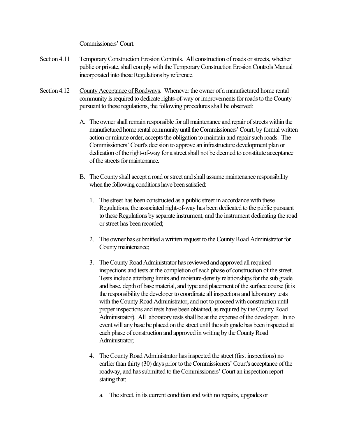Commissioners'Court.

- Section 4.11 Temporary Construction Erosion Controls. All construction of roads or streets, whether public or private, shall comply with the Temporary Construction Erosion Controls Manual incorporated into these Regulations by reference.
- Section 4.12 County Acceptance of Roadways. Whenever the owner of a manufactured home rental community is required to dedicate rights-of-way or improvements for roads to the County pursuant to these regulations, the following procedures shall be observed:
	- A. The owner shall remain responsible for all maintenance and repair of streets within the manufactured home rental community until the Commissioners'Court, by formal written action or minute order, accepts the obligation to maintain and repair such roads. The Commissioners' Court's decision to approve an infrastructure development plan or dedication of the right-of-way for a street shall not be deemed to constitute acceptance of the streets for maintenance.
	- B. The County shall accept a road or street and shall assume maintenance responsibility when the following conditions have been satisfied:
		- 1. The street has been constructed as a public street in accordance with these Regulations, the associated right-of-way has been dedicated to the public pursuant to these Regulations by separate instrument, and the instrument dedicating the road or street has been recorded;
		- 2. The owner has submitted a written request to the County Road Administrator for County maintenance;
		- 3. The County Road Administrator has reviewed and approved all required inspections and tests at the completion of each phase of construction of the street. Tests include atterberg limits and moisture-density relationships for the sub grade and base, depth of base material, and type and placement of the surface course (it is the responsibility the developer to coordinate all inspections and laboratory tests with the County Road Administrator, and not to proceed with construction until proper inspections and tests have been obtained, as required by the County Road Administrator). All laboratory tests shall be at the expense of the developer. In no event will any base be placed on the street until the sub grade has been inspected at each phase of construction and approved in writing by the County Road Administrator;
		- 4. The County Road Administrator has inspected the street (first inspections) no earlier than thirty (30) days prior to the Commissioners'Court's acceptance of the roadway, and has submitted to the Commissioners'Court an inspection report stating that:
			- a. The street, in its current condition and with no repairs, upgrades or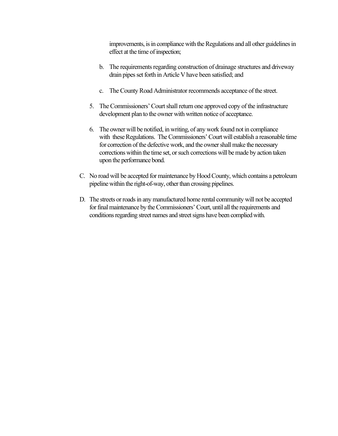improvements, is in compliance with the Regulations and all other guidelines in effect at the time of inspection;

- b. The requirements regarding construction of drainage structures and driveway drain pipes set forth in Article V have been satisfied; and
- c. The County Road Administrator recommends acceptance of the street.
- 5. The Commissioners'Court shall return one approved copy of the infrastructure development plan to the owner with written notice of acceptance.
- 6. The owner will be notified, in writing, of any work found not in compliance with these Regulations. The Commissioners'Court will establish a reasonable time for correction of the defective work, and the owner shall make the necessary corrections within the time set, or such corrections will be made by action taken upon the performance bond.
- C. No road will be accepted for maintenance by Hood County, which contains a petroleum pipeline within the right-of-way, other than crossing pipelines.
- D. The streets or roads in any manufactured home rental community will not be accepted for final maintenance by the Commissioners'Court, until all the requirements and conditions regarding street names and street signs have been complied with.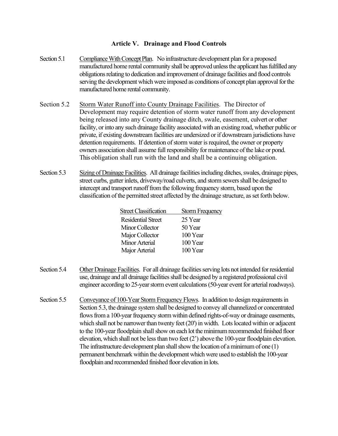# **Article V. Drainage and Flood Controls**

- Section 5.1 Compliance With Concept Plan. No infrastructure development plan for a proposed manufactured home rental community shall be approved unless the applicant has fulfilled any obligations relating to dedication and improvement of drainage facilities and flood controls serving the development which were imposed as conditions of concept plan approval for the manufactured home rental community.
- Section 5.2 Storm Water Runoff into County Drainage Facilities. The Director of Development may require detention of storm water runoff from any development being released into any County drainage ditch, swale, easement, culvert or other facility, or into any such drainage facility associated with an existing road, whether public or private, if existing downstream facilities are undersized or if downstream jurisdictions have detention requirements. If detention of storm water is required, the owner or property owners association shall assume full responsibility for maintenance of the lake or pond. This obligation shall run with the land and shall be a continuing obligation.
- Section 5.3 Sizing of Drainage Facilities. All drainage facilities including ditches, swales, drainage pipes, street curbs, gutter inlets, driveway/road culverts, and storm sewers shall be designed to intercept and transport runoff from the following frequency storm, based upon the classification of the permitted street affected by the drainage structure, as set forth below.

| <b>Storm Frequency</b> |
|------------------------|
| 25 Year                |
| 50 Year                |
| 100 Year               |
| 100 Year               |
| 100 Year               |
|                        |

- Section 5.4 Other Drainage Facilities. For all drainage facilities serving lots not intended for residential use, drainage and all drainage facilities shall be designed by a registered professional civil engineer according to 25-year storm event calculations(50-year event for arterial roadways).
- Section 5.5 Conveyance of 100-Year Storm Frequency Flows. In addition to design requirements in Section 5.3, the drainage system shall be designed to convey all channelized or concentrated flows from a 100-year frequency storm within defined rights-of-way or drainage easements, which shall not be narrower than twenty feet (20') in width. Lots located within or adjacent to the 100-year floodplain shall show on each lot the minimum recommended finished floor elevation, which shall not be less than two feet (2') above the 100-year floodplain elevation. The infrastructure development plan shall show the location of a minimum of one (1) permanent benchmark within the development which were used to establish the 100-year floodplain and recommended finished floor elevation in lots.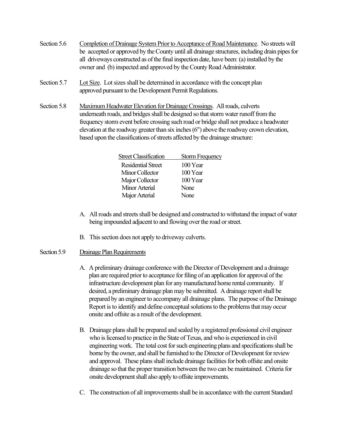- Section 5.6 Completion of Drainage System Prior to Acceptance of Road Maintenance. No streets will be accepted or approved by the County until all drainage structures, including drain pipes for all driveways constructed as of the final inspection date, have been: (a) installed by the owner and (b) inspected and approved by the County Road Administrator.
- Section 5.7 Lot Size. Lot sizes shall be determined in accordance with the concept plan approved pursuant to the Development Permit Regulations.
- Section 5.8 Maximum Headwater Elevation for Drainage Crossings. All roads, culverts underneath roads, and bridges shall be designed so that storm water runoff from the frequency storm event before crossing such road or bridge shall not produce a headwater elevation at the roadway greater than six inches (6") above the roadway crown elevation, based upon the classifications of streets affected by the drainage structure:

| <b>Street Classification</b> | <b>Storm Frequency</b> |
|------------------------------|------------------------|
| Residential Street           | 100 Year               |
| Minor Collector              | 100 Year               |
| Major Collector              | 100 Year               |
| Minor Arterial               | None                   |
| Major Arterial               | None                   |
|                              |                        |

- A. All roads and streets shall be designed and constructed to withstand the impact of water being impounded adjacent to and flowing over the road or street.
- B. This section does not apply to driveway culverts.

# Section 5.9 Drainage Plan Requirements

- A. A preliminary drainage conference with the Director of Development and a drainage plan are required prior to acceptance for filing of an application for approval of the infrastructure development plan for any manufactured home rental community. If desired, a preliminary drainage plan may be submitted. A drainage report shall be prepared by an engineer to accompany all drainage plans. The purpose of the Drainage Report is to identify and define conceptual solutions to the problems that may occur onsite and offsite as a result of the development.
- B. Drainage plans shall be prepared and sealed by a registered professional civil engineer who is licensed to practice in the State of Texas, and who is experienced in civil engineering work. The total cost for such engineering plans and specifications shall be borne by the owner, and shall be furnished to the Director of Development for review and approval. These plans shall include drainage facilities for both offsite and onsite drainage so that the proper transition between the two can be maintained. Criteria for onsite development shall also apply to offsite improvements.
- C. The construction of all improvements shall be in accordance with the current Standard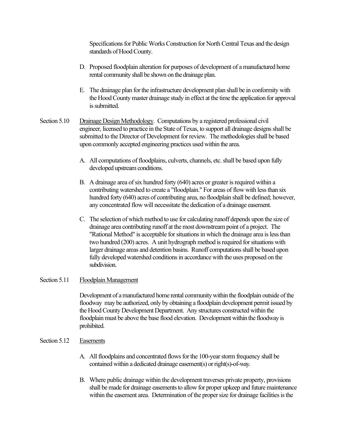Specifications for Public Works Construction for North Central Texas and the design standards of Hood County.

- D. Proposed floodplain alteration for purposes of development of a manufactured home rental community shall be shown on the drainage plan.
- E. The drainage plan for the infrastructure development plan shall be in conformity with the Hood County master drainage study in effect at the time the application for approval is submitted.
- Section 5.10 Drainage Design Methodology. Computations by a registered professional civil engineer, licensed to practice in the State of Texas, to support all drainage designs shall be submitted to the Director of Development for review. The methodologies shall be based upon commonly accepted engineering practices used within the area.
	- A. All computations of floodplains, culverts, channels, etc. shall be based upon fully developed upstream conditions.
	- B. A drainage area of six hundred forty (640) acres or greater is required within a contributing watershed to create a "floodplain." For areas of flow with less than six hundred forty (640) acres of contributing area, no floodplain shall be defined; however, any concentrated flow will necessitate the dedication of a drainage easement.
	- C. The selection of which method to use for calculating runoff depends upon the size of drainage area contributing runoff at the most downstream point of a project. The "Rational Method" is acceptable for situations in which the drainage area is less than two hundred (200) acres. A unit hydrograph method is required for situations with larger drainage areas and detention basins. Runoff computations shall be based upon fully developed watershed conditions in accordance with the uses proposed on the subdivision.

### Section 5.11 Floodplain Management

Development of a manufactured home rental community within the floodplain outside of the floodway may be authorized, only by obtaining a floodplain development permit issued by the Hood County Development Department. Any structures constructed within the floodplain must be above the base flood elevation. Development within the floodway is prohibited.

#### Section 5.12 Easements

- A. All floodplains and concentrated flows for the 100-year storm frequency shall be contained within a dedicated drainage easement(s) or right(s)-of-way.
- B. Where public drainage within the development traverses private property, provisions shall be made for drainage easements to allow for proper upkeep and future maintenance within the easement area. Determination of the proper size for drainage facilities is the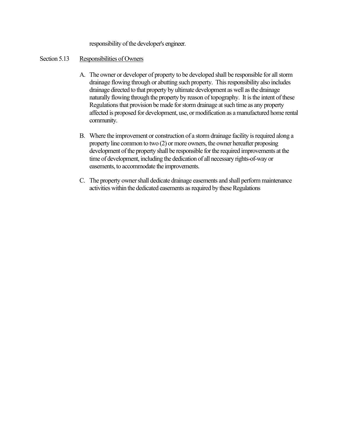responsibility of the developer's engineer.

### Section 5.13 Responsibilities of Owners

- A. The owner or developer of property to be developed shall be responsible for all storm drainage flowing through or abutting such property. This responsibility also includes drainage directed to that property by ultimate development as well as the drainage naturally flowing through the property by reason of topography. It is the intent of these Regulations that provision be made for storm drainage at such time as any property affected is proposed for development, use, or modification as a manufactured home rental community.
- B. Where the improvement or construction of a storm drainage facility is required along a property line common to two (2) or more owners, the owner hereafter proposing development of the property shall be responsible for the required improvements at the time of development, including the dedication of all necessary rights-of-way or easements, to accommodate the improvements.
- C. The property owner shall dedicate drainage easements and shall perform maintenance activities within the dedicated easements as required by these Regulations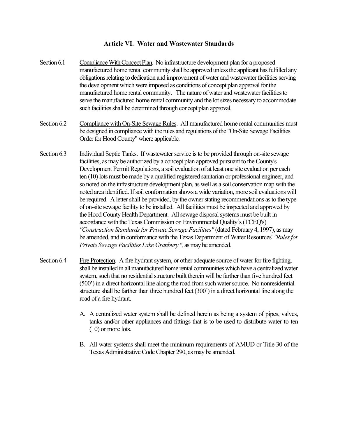## **Article VI. Water and Wastewater Standards**

- Section 6.1 Compliance With Concept Plan. No infrastructure development plan for a proposed manufactured home rental community shall be approved unless the applicant has fulfilled any obligations relating to dedication and improvement of water and wastewater facilities serving the development which were imposed as conditions of concept plan approval for the manufactured home rental community. The nature of water and wastewater facilities to serve the manufactured home rental community and the lot sizes necessary to accommodate such facilities shall be determined through concept plan approval.
- Section 6.2 Compliance with On-Site Sewage Rules. All manufactured home rental communities must be designed in compliance with the rules and regulations of the "On-Site Sewage Facilities Order for Hood County" where applicable.
- Section 6.3 Individual Septic Tanks. If wastewater service is to be provided through on-site sewage facilities, as may be authorized by a concept plan approved pursuant to the County's Development Permit Regulations, a soil evaluation of at least one site evaluation per each ten (10) lots must be made by a qualified registered sanitarian or professional engineer, and so noted on the infrastructure development plan, as well as a soil conservation map with the noted area identified.If soil conformation shows a wide variation, more soil evaluations will be required. A letter shall be provided, by the owner stating recommendations as to the type of on-site sewage facility to be installed. All facilities must be inspected and approved by the Hood County Health Department. All sewage disposal systems must be built in accordance with the Texas Commission on Environmental Quality's (TCEQ's) *"Construction Standards for Private Sewage Facilities"* (dated February 4, 1997), as may be amended, and in conformance with the Texas Department of Water Resources' *"Rules for Private Sewage Facilities Lake Granbury ",* as may be amended.
- Section 6.4 Fire Protection. A fire hydrant system, or other adequate source of water for fire fighting, shall be installed in all manufactured home rental communities which have a centralized water system, such that no residential structure built therein will be farther than five hundred feet (500') in a direct horizontal line along the road from such water source. No nonresidential structure shall be farther than three hundred feet (300') in a direct horizontal line along the road of a fire hydrant.
	- A. A centralized water system shall be defined herein as being a system of pipes, valves, tanks and/or other appliances and fittings that is to be used to distribute water to ten (10) or more lots.
	- B. All water systems shall meet the minimum requirements of AMUD or Title 30 of the Texas Administrative Code Chapter 290, as may be amended.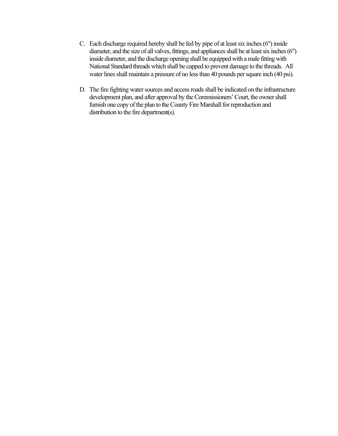- C. Each discharge required hereby shall be fed by pipe of at least six inches (6") inside diameter, and the size of all valves, fittings, and appliances shall be at least six inches (6") inside diameter, and the discharge opening shall be equipped with a male fitting with National Standard threads which shall be capped to prevent damage to the threads. All water lines shall maintain a pressure of no less than 40 pounds per square inch (40 psi).
- D. The fire fighting water sources and access roads shall be indicated on the infrastructure development plan, and after approval by the Commissioners' Court, the owner shall furnish one copy of the plan to the County Fire Marshall for reproduction and distribution to the fire department(s).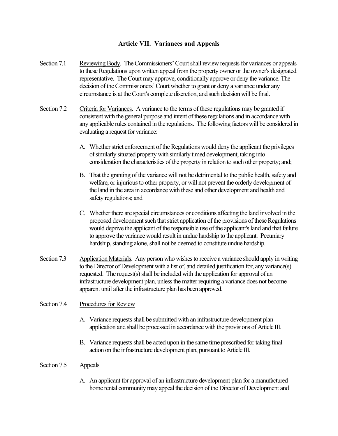# **Article VII. Variances and Appeals**

- Section 7.1 Reviewing Body. The Commissioners' Court shall review requests for variances or appeals to these Regulations upon written appeal from the property owner or the owner's designated representative. The Court may approve, conditionally approve or deny the variance. The decision of the Commissioners'Court whether to grant or deny a variance under any circumstance is at the Court's complete discretion, and such decision will be final.
- Section 7.2 Criteria for Variances. A variance to the terms of these regulations may be granted if consistent with the general purpose and intent of these regulations and in accordance with any applicable rules contained in the regulations. The following factors will be considered in evaluating a request for variance:
	- A. Whether strict enforcement of the Regulations would deny the applicant the privileges of similarly situated property with similarly timed development, taking into consideration the characteristics of the property in relation to such other property; and;
	- B. That the granting of the variance will not be detrimental to the public health, safety and welfare, or injurious to other property, or will not prevent the orderly development of the land in the area in accordance with these and other development and health and safety regulations; and
	- C. Whether there are special circumstances or conditions affecting the land involved in the proposed development such that strict application of the provisions of these Regulations would deprive the applicant of the responsible use of the applicant's land and that failure to approve the variance would result in undue hardship to the applicant. Pecuniary hardship, standing alone, shall not be deemed to constitute undue hardship.
- Section 7.3 Application Materials. Any person who wishes to receive a variance should apply in writing to the Director of Development with a list of, and detailed justification for, any variance(s) requested. The request(s) shall be included with the application for approval of an infrastructure development plan, unless the matter requiring a variance does not become apparent until after the infrastructure plan has been approved.

### Section 7.4 Procedures for Review

- A. Variance requests shall be submitted with an infrastructure development plan application and shall be processed in accordance with the provisions of Article III.
- B. Variance requests shall be acted upon in the same time prescribed for taking final action on the infrastructure development plan, pursuant to Article III.

### Section 7.5 Appeals

A. An applicant for approval of an infrastructure development plan for a manufactured home rental community may appeal the decision of the Director of Development and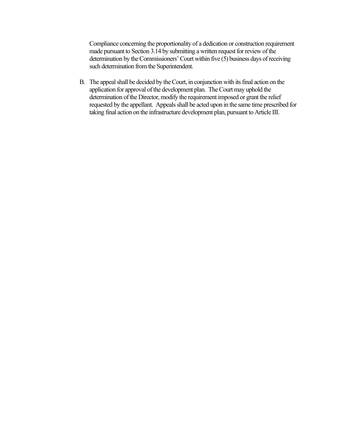Compliance concerning the proportionality of a dedication or construction requirement made pursuant to Section 3.14 by submitting a written request for review of the determination by the Commissioners'Court within five (5) business days of receiving such determination from the Superintendent.

B. The appeal shall be decided by the Court, in conjunction with its final action on the application for approval of the development plan. The Court may uphold the determination of the Director, modify the requirement imposed or grant the relief requested by the appellant. Appeals shall be acted upon in the same time prescribed for taking final action on the infrastructure development plan, pursuant to Article III.